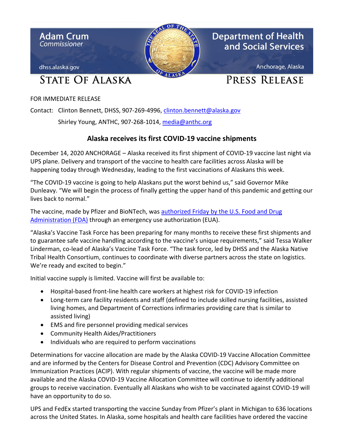

FOR IMMEDIATE RELEASE

Contact: Clinton Bennett, DHSS, 907-269-4996, clinton.bennett@alaska.gov

Shirley Young, ANTHC, 907-268-1014, [media@anthc.org](mailto:media@anthc.org)

## **Alaska receives its first COVID-19 vaccine shipments**

December 14, 2020 ANCHORAGE – Alaska received its first shipment of COVID-19 vaccine last night via UPS plane. Delivery and transport of the vaccine to health care facilities across Alaska will be happening today through Wednesday, leading to the first vaccinations of Alaskans this week.

"The COVID-19 vaccine is going to help Alaskans put the worst behind us," said Governor Mike Dunleavy. "We will begin the process of finally getting the upper hand of this pandemic and getting our lives back to normal."

The vaccine, made by Pfizer and BioNTech, was [authorized Friday by the U.S. Food and Drug](https://www.fda.gov/emergency-preparedness-and-response/coronavirus-disease-2019-covid-19/pfizer-biontech-covid-19-vaccine)  [Administration \(FDA\)](https://www.fda.gov/emergency-preparedness-and-response/coronavirus-disease-2019-covid-19/pfizer-biontech-covid-19-vaccine) through an emergency use authorization (EUA).

"Alaska's Vaccine Task Force has been preparing for many months to receive these first shipments and to guarantee safe vaccine handling according to the vaccine's unique requirements," said Tessa Walker Linderman, co-lead of Alaska's Vaccine Task Force. "The task force, led by DHSS and the Alaska Native Tribal Health Consortium, continues to coordinate with diverse partners across the state on logistics. We're ready and excited to begin."

Initial vaccine supply is limited. Vaccine will first be available to:

- Hospital-based front-line health care workers at highest risk for COVID-19 infection
- Long-term care facility residents and staff (defined to include skilled nursing facilities, assisted living homes, and Department of Corrections infirmaries providing care that is similar to assisted living)
- EMS and fire personnel providing medical services
- Community Health Aides/Practitioners
- Individuals who are required to perform vaccinations

Determinations for vaccine allocation are made by the Alaska COVID-19 Vaccine Allocation Committee and are informed by the Centers for Disease Control and Prevention (CDC) Advisory Committee on Immunization Practices (ACIP). With regular shipments of vaccine, the vaccine will be made more available and the Alaska COVID-19 Vaccine Allocation Committee will continue to identify additional groups to receive vaccination. Eventually all Alaskans who wish to be vaccinated against COVID-19 will have an opportunity to do so.

UPS and FedEx started transporting the vaccine Sunday from Pfizer's plant in Michigan to 636 locations across the United States. In Alaska, some hospitals and health care facilities have ordered the vaccine